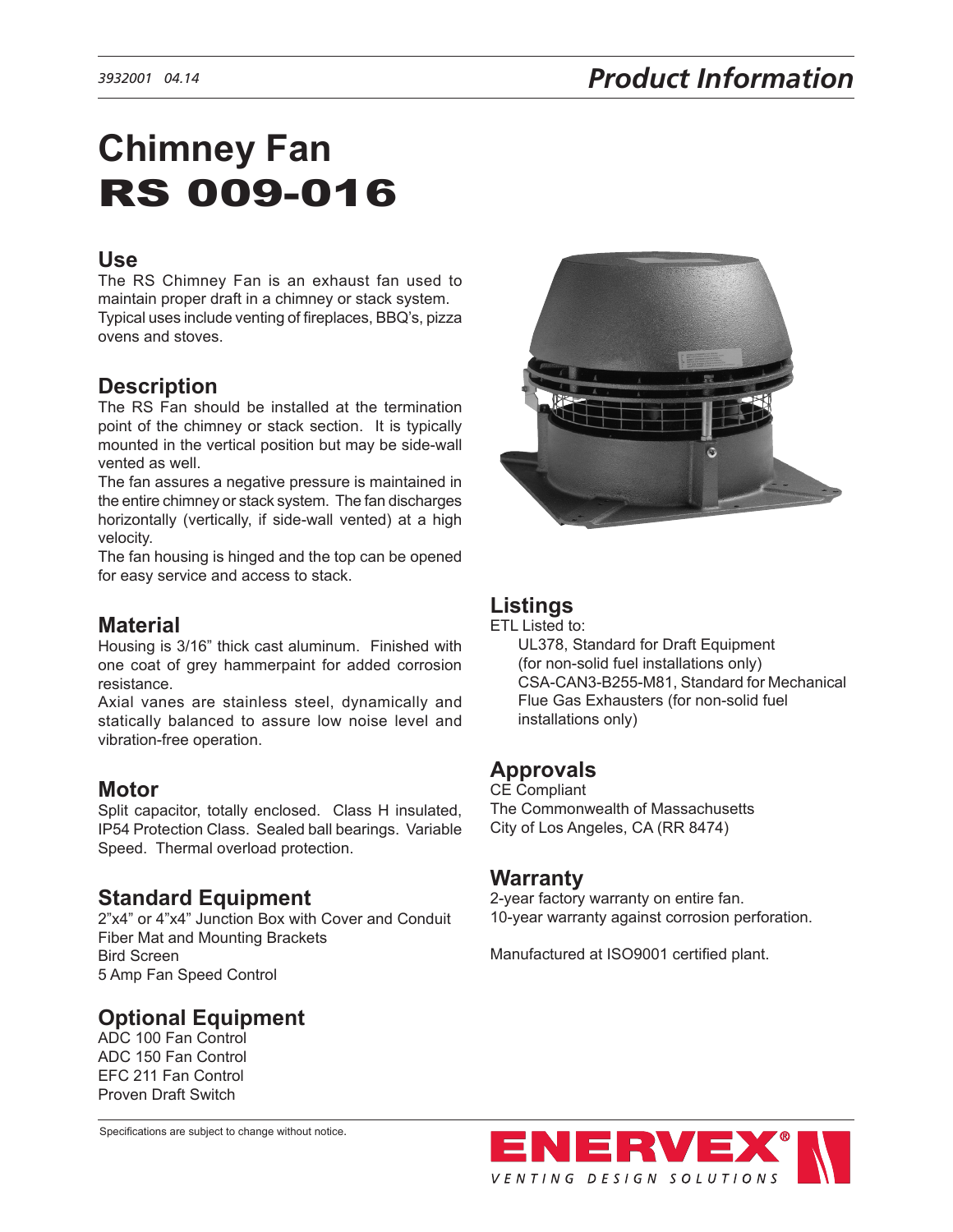## **Chimney Fan**  RS 009-016

#### **Use**

The RS Chimney Fan is an exhaust fan used to maintain proper draft in a chimney or stack system. Typical uses include venting of fireplaces, BBQ's, pizza ovens and stoves.

#### **Description**

The RS Fan should be installed at the termination point of the chimney or stack section. It is typically mounted in the vertical position but may be side-wall vented as well.

The fan assures a negative pressure is maintained in the entire chimney or stack system. The fan discharges horizontally (vertically, if side-wall vented) at a high velocity.

The fan housing is hinged and the top can be opened for easy service and access to stack.

#### **Material**

Housing is 3/16" thick cast aluminum. Finished with one coat of grey hammerpaint for added corrosion resistance.

Axial vanes are stainless steel, dynamically and statically balanced to assure low noise level and vibration-free operation.

#### **Motor**

Split capacitor, totally enclosed. Class H insulated, IP54 Protection Class. Sealed ball bearings. Variable Speed. Thermal overload protection.

#### **Standard Equipment**

2"x4" or 4"x4" Junction Box with Cover and Conduit Fiber Mat and Mounting Brackets Bird Screen 5 Amp Fan Speed Control

#### **Optional Equipment**

ADC 100 Fan Control ADC 150 Fan Control EFC 211 Fan Control Proven Draft Switch

Specifications are subject to change without notice.



#### **Listings**

ETL Listed to:

UL378, Standard for Draft Equipment (for non-solid fuel installations only) CSA-CAN3-B255-M81, Standard for Mechanical Flue Gas Exhausters (for non-solid fuel installations only)

#### **Approvals**

CE Compliant The Commonwealth of Massachusetts City of Los Angeles, CA (RR 8474)

#### **Warranty**

2-year factory warranty on entire fan. 10-year warranty against corrosion perforation.

Manufactured at ISO9001 certified plant.